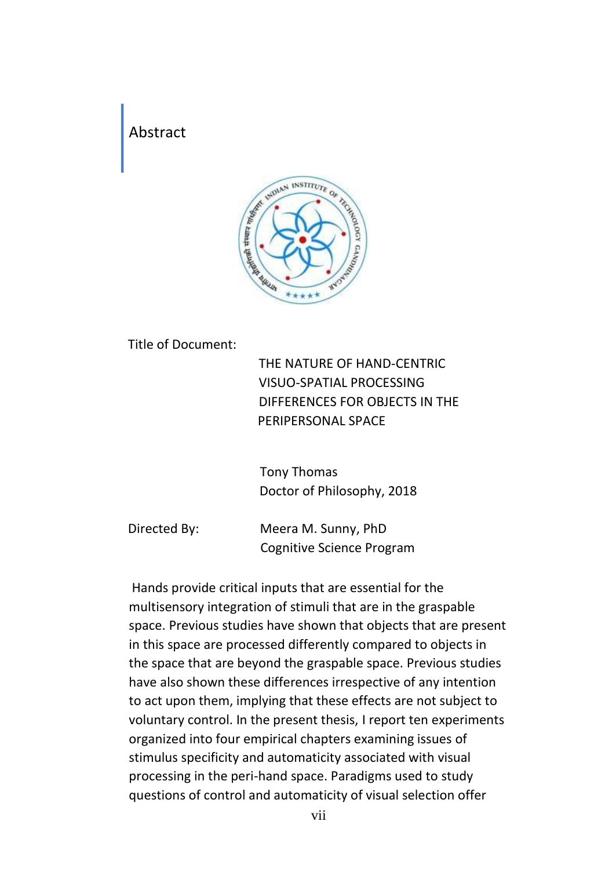## Abstract



Title of Document:

THE NATURE OF HAND-CENTRIC VISUO-SPATIAL PROCESSING DIFFERENCES FOR OBJECTS IN THE PERIPERSONAL SPACE

Tony Thomas Doctor of Philosophy, 2018

Directed By: Meera M. Sunny, PhD Cognitive Science Program

Hands provide critical inputs that are essential for the multisensory integration of stimuli that are in the graspable space. Previous studies have shown that objects that are present in this space are processed differently compared to objects in the space that are beyond the graspable space. Previous studies have also shown these differences irrespective of any intention to act upon them, implying that these effects are not subject to voluntary control. In the present thesis, I report ten experiments organized into four empirical chapters examining issues of stimulus specificity and automaticity associated with visual processing in the peri-hand space. Paradigms used to study questions of control and automaticity of visual selection offer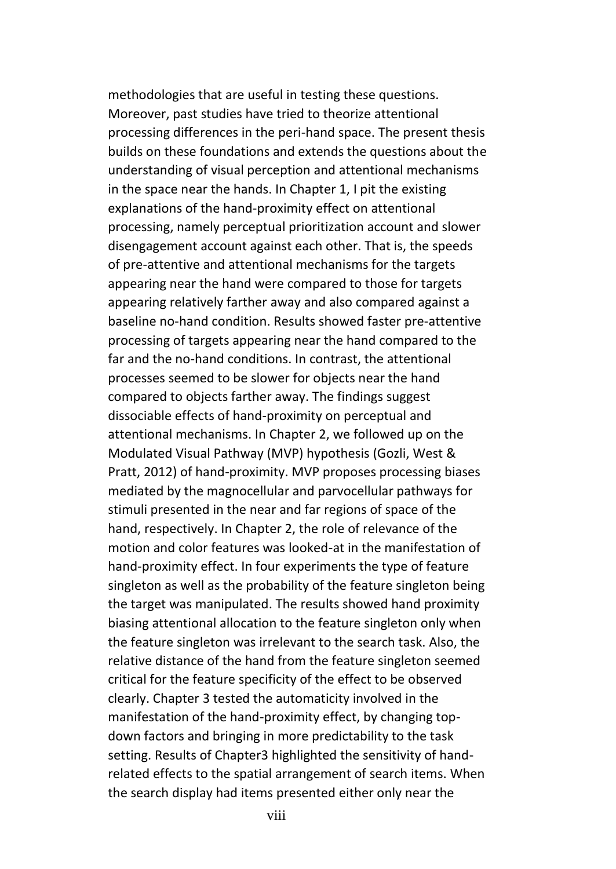methodologies that are useful in testing these questions. Moreover, past studies have tried to theorize attentional processing differences in the peri-hand space. The present thesis builds on these foundations and extends the questions about the understanding of visual perception and attentional mechanisms in the space near the hands. In Chapter 1, I pit the existing explanations of the hand-proximity effect on attentional processing, namely perceptual prioritization account and slower disengagement account against each other. That is, the speeds of pre-attentive and attentional mechanisms for the targets appearing near the hand were compared to those for targets appearing relatively farther away and also compared against a baseline no-hand condition. Results showed faster pre-attentive processing of targets appearing near the hand compared to the far and the no-hand conditions. In contrast, the attentional processes seemed to be slower for objects near the hand compared to objects farther away. The findings suggest dissociable effects of hand-proximity on perceptual and attentional mechanisms. In Chapter 2, we followed up on the Modulated Visual Pathway (MVP) hypothesis (Gozli, West & Pratt, 2012) of hand-proximity. MVP proposes processing biases mediated by the magnocellular and parvocellular pathways for stimuli presented in the near and far regions of space of the hand, respectively. In Chapter 2, the role of relevance of the motion and color features was looked-at in the manifestation of hand-proximity effect. In four experiments the type of feature singleton as well as the probability of the feature singleton being the target was manipulated. The results showed hand proximity biasing attentional allocation to the feature singleton only when the feature singleton was irrelevant to the search task. Also, the relative distance of the hand from the feature singleton seemed critical for the feature specificity of the effect to be observed clearly. Chapter 3 tested the automaticity involved in the manifestation of the hand-proximity effect, by changing topdown factors and bringing in more predictability to the task setting. Results of Chapter3 highlighted the sensitivity of handrelated effects to the spatial arrangement of search items. When the search display had items presented either only near the